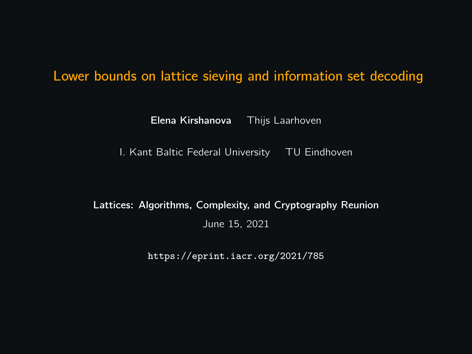#### Lower bounds on lattice sieving and information set decoding

Elena Kirshanova Thijs Laarhoven

I. Kant Baltic Federal University TU Eindhoven

Lattices: Algorithms, Complexity, and Cryptography Reunion June 15, 2021

<https://eprint.iacr.org/2021/785>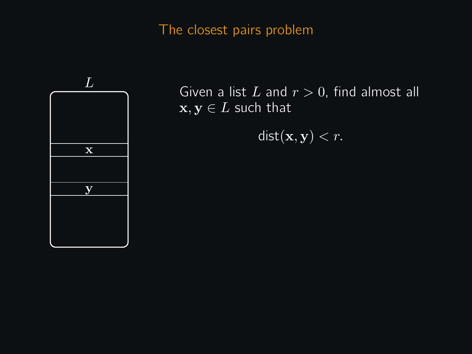### The closest pairs problem



Given a list L and  $r > 0$ , find almost all  $x, y \in L$  such that

 $dist(\mathbf{x}, \mathbf{y}) < r$ .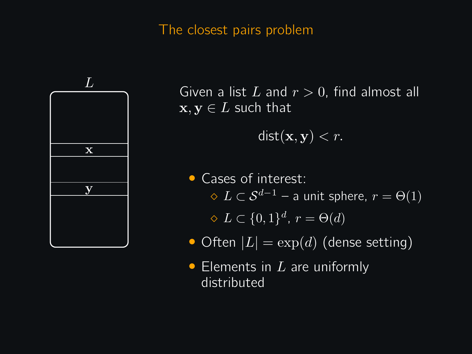#### The closest pairs problem



Given a list L and  $r > 0$ , find almost all  $\mathbf{x}, \mathbf{y} \in L$  such that

 $dist(\mathbf{x}, \mathbf{y}) < r$ .

- Cases of interest:  $\Diamond L \subset \mathcal{S}^{d-1}$  – a unit sphere,  $r = \Theta(1)$  $\Diamond L \subset \{0,1\}^d$ ,  $r = \Theta(d)$
- Often  $|L| = \exp(d)$  (dense setting)
- Elements in  $L$  are uniformly distributed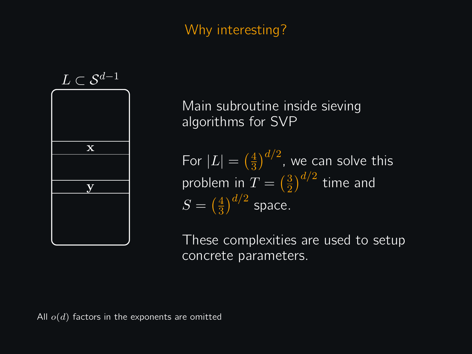# Why interesting?



Main subroutine inside sieving algorithms for SVP

For  $|L| = \left(\frac{4}{3}\right)$  $\left(\frac{4}{3}\right)^{d/2}$ , we can solve this problem in  $T = \left(\frac{3}{2}\right)$  $\left(\frac{3}{2}\right)^{d/2}$  time and  $S = \left(\frac{4}{3}\right)$  $\frac{4}{3}\big)^{d/2}$  space.

These complexities are used to setup concrete parameters.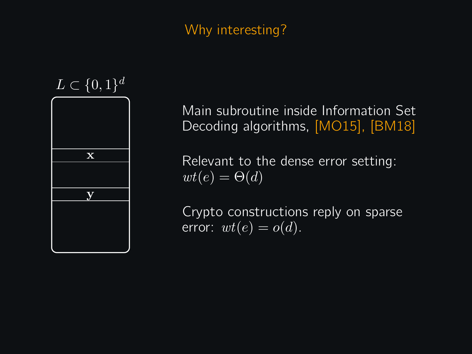# Why interesting?



Main subroutine inside Information Set Decoding algorithms, [MO15], [BM18]

Relevant to the dense error setting:  $wt(e) = \Theta(d)$ 

Crypto constructions reply on sparse error:  $wt(e) = o(d)$ .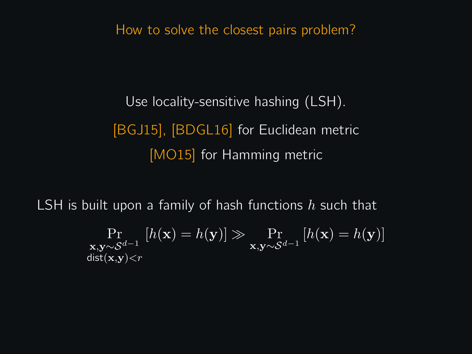How to solve the closest pairs problem?

Use locality-sensitive hashing (LSH). [BGJ15], [BDGL16] for Euclidean metric [MO15] for Hamming metric

LSH is built upon a family of hash functions  $h$  such that

$$
\Pr_{\mathbf{x}, \mathbf{y} \sim \mathcal{S}^{d-1}} [h(\mathbf{x}) = h(\mathbf{y})] \gg \Pr_{\mathbf{x}, \mathbf{y} \sim \mathcal{S}^{d-1}} [h(\mathbf{x}) = h(\mathbf{y})]
$$
dist(**x**, **y**) < r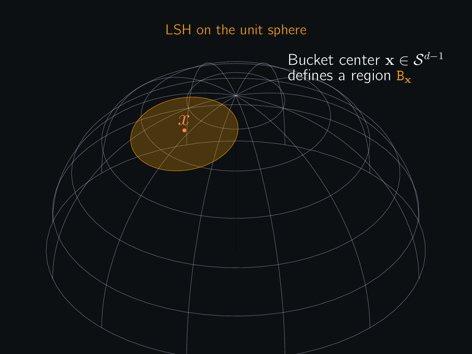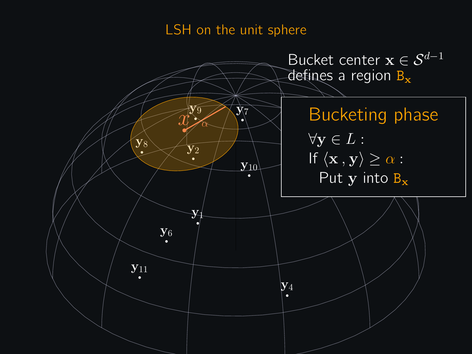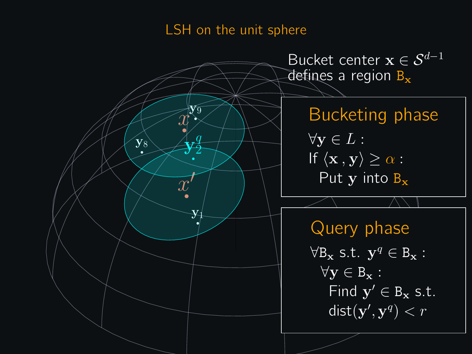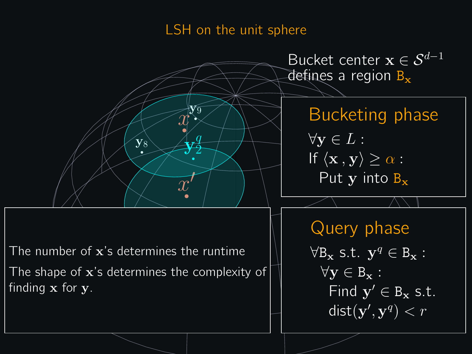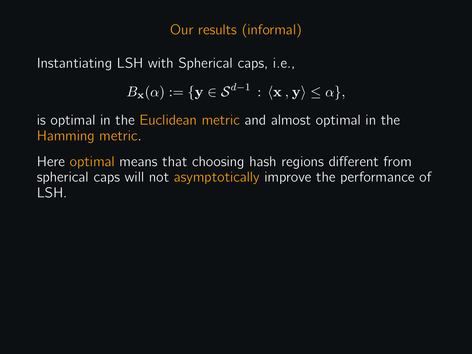### Our results (informal)

Instantiating LSH with Spherical caps, i.e.,

$$
B_{\mathbf{x}}(\alpha) := \{ \mathbf{y} \in \mathcal{S}^{d-1} \, : \, \langle \mathbf{x}, \mathbf{y} \rangle \le \alpha \},
$$

is optimal in the Euclidean metric and almost optimal in the Hamming metric.

Here optimal means that choosing hash regions different from spherical caps will not asymptotically improve the performance of LSH.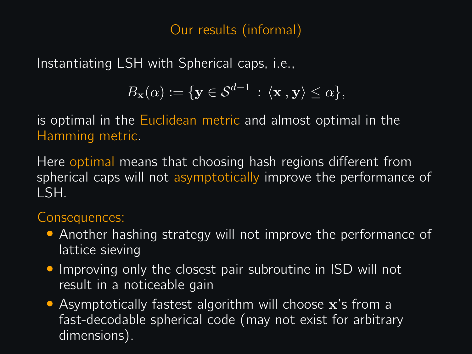# Our results (informal)

Instantiating LSH with Spherical caps, i.e.,

$$
B_{\mathbf{x}}(\alpha) := \{ \mathbf{y} \in \mathcal{S}^{d-1} \, : \, \langle \mathbf{x}, \mathbf{y} \rangle \le \alpha \},
$$

is optimal in the Euclidean metric and almost optimal in the Hamming metric.

Here optimal means that choosing hash regions different from spherical caps will not asymptotically improve the performance of LSH.

# Consequences:

- Another hashing strategy will not improve the performance of lattice sieving
- Improving only the closest pair subroutine in ISD will not result in a noticeable gain
- Asymptotically fastest algorithm will choose x's from a fast-decodable spherical code (may not exist for arbitrary dimensions).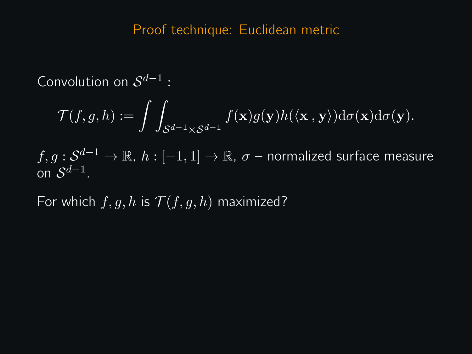Convolution on  $S^{d-1}$  :

$$
\mathcal{T}(f,g,h):=\int\int_{\mathcal{S}^{d-1}\times\mathcal{S}^{d-1}}f(\mathbf{x})g(\mathbf{y})h(\langle\mathbf{x}\,,\mathbf{y}\rangle)\mathrm{d}\sigma(\mathbf{x})\mathrm{d}\sigma(\mathbf{y}).
$$

 $f,g:\mathcal{S}^{d-1}\to\mathbb{R},\ h:[-1,1]\to\mathbb{R},\ \sigma$  – normalized surface measure on  $S^{d-1}$ .

For which  $f, g, h$  is  $\mathcal{T}(f, g, h)$  maximized?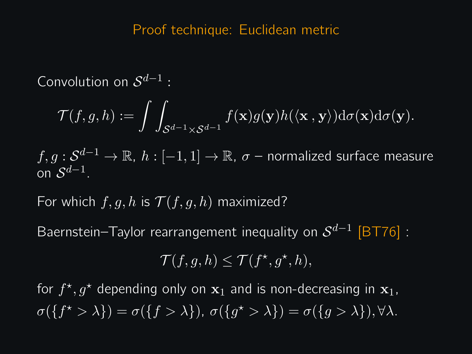Convolution on  $S^{d-1}$  :

$$
\mathcal{T}(f,g,h):=\int\int_{\mathcal{S}^{d-1}\times\mathcal{S}^{d-1}}f(\mathbf{x})g(\mathbf{y})h(\langle\mathbf{x}\,,\mathbf{y}\rangle)\mathrm{d}\sigma(\mathbf{x})\mathrm{d}\sigma(\mathbf{y}).
$$

 $f,g:\mathcal{S}^{d-1}\to\mathbb{R},\ h:[-1,1]\to\mathbb{R},\ \sigma$  – normalized surface measure on  $S^{d-1}$ .

For which  $f, g, h$  is  $\mathcal{T}(f, g, h)$  maximized?

Baernstein–Taylor rearrangement inequality on  $\mathcal{S}^{d-1}$  [BT76] :

$$
\mathcal{T}(f,g,h)\leq \mathcal{T}(f^{\star},g^{\star},h),
$$

for  $f^{\star}, g^{\star}$  depending only on  $\mathbf{x}_1$  and is non-decreasing in  $\mathbf{x}_1$ ,  $\sigma({f^* > \lambda}) = \sigma({f > \lambda}), \ \sigma({g^* > \lambda}) = \sigma({g > \lambda}), \forall \lambda.$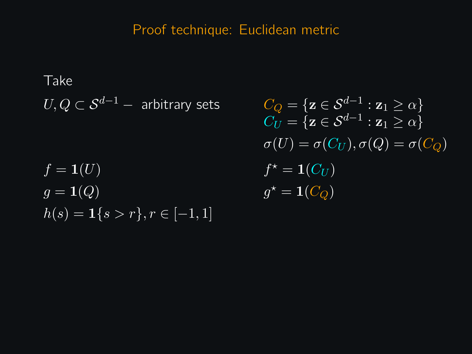Take  $U, Q \subset S^{d-1}$  – arbitrary sets  $f = \mathbf{1}(U)$  $q = \mathbf{1}(Q)$  $h(s) = 1\{s > r\}, r \in [-1, 1]$ 

 $\overline{C_Q} = {\mathbf{z} \in \mathcal{S}^{d-1} : \mathbf{z}_1 > \alpha}$  $C_U = \{ \mathbf{z} \in \mathcal{S}^{d-1} : \mathbf{z}_1 \geq \alpha \}$  $\sigma(U) = \sigma(C_U), \sigma(Q) = \sigma(C_O)$  $f^* = 1(C_U)$  $q^* = \mathbf{1}(C_O)$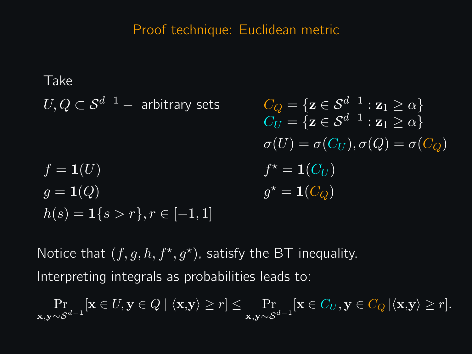Take  
\n
$$
U, Q \subset S^{d-1} - \text{ arbitrary sets}
$$
\n
$$
C_Q = \{ \mathbf{z} \in S^{d-1} : \mathbf{z}_1 \ge \alpha \}
$$
\n
$$
C_U = \{ \mathbf{z} \in S^{d-1} : \mathbf{z}_1 \ge \alpha \}
$$
\n
$$
\sigma(U) = \sigma(C_U), \sigma(Q) = \sigma(C_Q)
$$
\n
$$
f = \mathbf{1}(U)
$$
\n
$$
f^* = \mathbf{1}(C_U)
$$
\n
$$
g = \mathbf{1}(Q)
$$
\n
$$
g^* = \mathbf{1}(C_Q)
$$

Notice that  $(f, g, h, f^{\star}, g^{\star})$ , satisfy the BT inequality. Interpreting integrals as probabilities leads to:

 $\Pr_{\mathbf{x},\mathbf{y}\sim\mathcal{S}^{d-1}}[\mathbf{x}\in U,\mathbf{y}\in Q\mid\langle\mathbf{x},\mathbf{y}\rangle\geq r]\leq \Pr_{\mathbf{x},\mathbf{y}\sim\mathcal{S}^{d-1}}[\mathbf{x}\in C_U,\mathbf{y}\in C_Q\mid\langle\mathbf{x},\mathbf{y}\rangle\geq r].$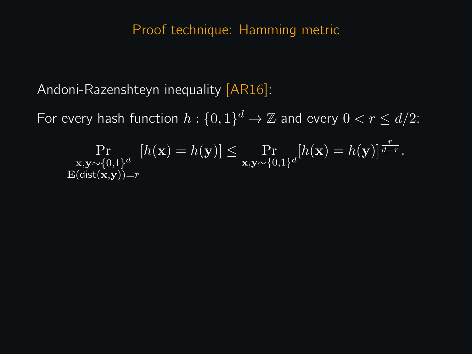### Proof technique: Hamming metric

Andoni-Razenshteyn inequality [AR16]:

For every hash function  $h: \{0,1\}^d \to \mathbb{Z}$  and every  $0 < r \leq d/2$ :

$$
\Pr_{\substack{\mathbf{x},\mathbf{y}\sim\{0,1\}^d\\ \mathbf{E}(\text{dist}(\mathbf{x},\mathbf{y}))=r}}[h(\mathbf{x})=h(\mathbf{y})] \le \Pr_{\mathbf{x},\mathbf{y}\sim\{0,1\}^d}[h(\mathbf{x})=h(\mathbf{y})]^{\frac{r}{d-r}}.
$$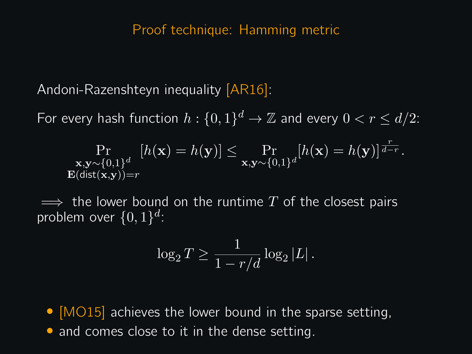#### Proof technique: Hamming metric

Andoni-Razenshteyn inequality [AR16]:

For every hash function  $h: \{0,1\}^d \to \mathbb{Z}$  and every  $0 < r \leq d/2$ :

$$
\Pr_{\substack{\mathbf{x},\mathbf{y}\sim\{0,1\}^d\\ \mathbf{E}(\text{dist}(\mathbf{x},\mathbf{y}))=r}}[h(\mathbf{x})=h(\mathbf{y})] \le \Pr_{\mathbf{x},\mathbf{y}\sim\{0,1\}^d}[h(\mathbf{x})=h(\mathbf{y})]^{\frac{r}{d-r}}.
$$

 $\implies$  the lower bound on the runtime T of the closest pairs problem over  $\{0,1\}^d$ :

$$
\log_2 T \ge \frac{1}{1 - r/d} \log_2 |L|.
$$

- $[MO15]$  achieves the lower bound in the sparse setting,
- and comes close to it in the dense setting.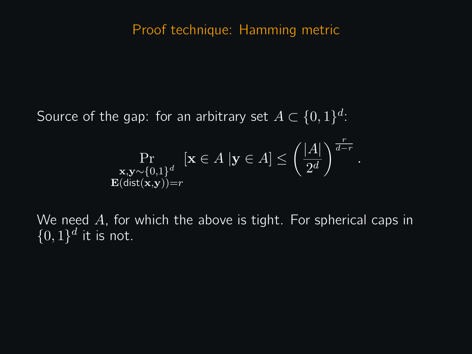### Proof technique: Hamming metric

Source of the gap: for an arbitrary set  $A \subset \{0,1\}^d$ :

$$
\Pr_{\substack{\mathbf{x}, \mathbf{y} \sim \{0,1\}^d \\ \mathbf{E}(\text{dist}(\mathbf{x}, \mathbf{y})) = r}} [\mathbf{x} \in A \, |\mathbf{y} \in A] \le \left(\frac{|A|}{2^d}\right)^{\frac{r}{d-r}}
$$

We need  $A$ , for which the above is tight. For spherical caps in  $\{0,1\}^d$  it is not.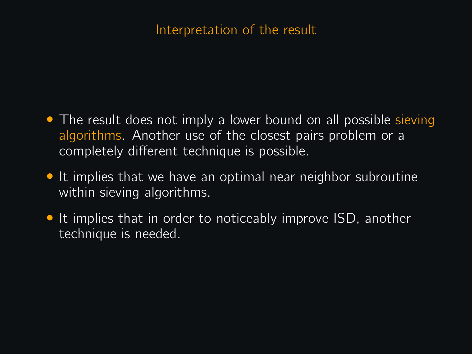### Interpretation of the result

- The result does not imply a lower bound on all possible sieving algorithms. Another use of the closest pairs problem or a completely different technique is possible.
- It implies that we have an optimal near neighbor subroutine within sieving algorithms.
- It implies that in order to noticeably improve ISD, another technique is needed.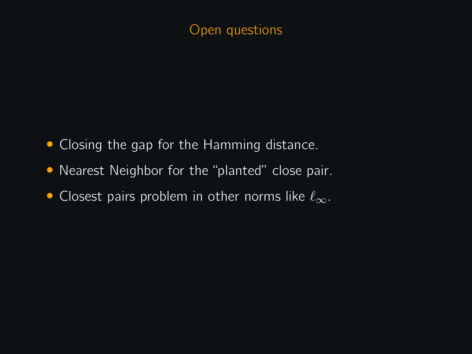# Open questions

- Closing the gap for the Hamming distance.
- Nearest Neighbor for the "planted" close pair.
- Closest pairs problem in other norms like  $\ell_{\infty}$ .